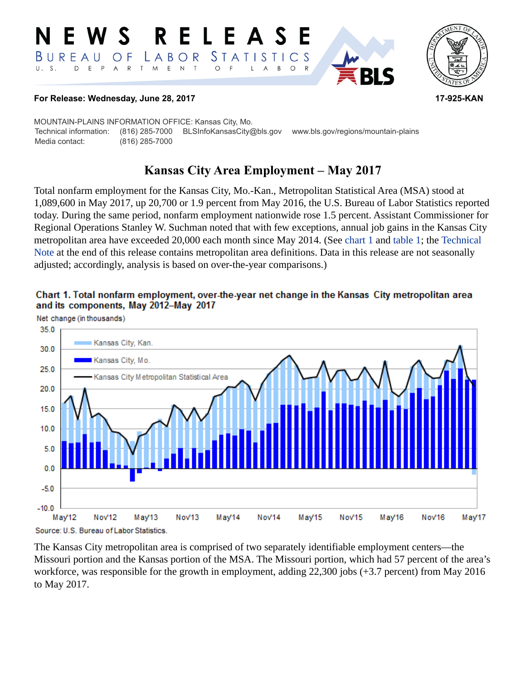#### R ELEA  $\mathbf S$ STATISTICS BUREAU LABOR O F T M  $\,$  E  $\top$  $U. S.$ D  $E$  $P$  $\overline{A}$  $\mathsf{R}$  $\mathsf{N}$  $\circ$ B  $\circ$  $\mathsf{R}$ L A



#### **For Release: Wednesday, June 28, 2017 17-925-KAN**

MOUNTAIN-PLAINS INFORMATION OFFICE: Kansas City, Mo. Technical information: (816) 285-7000 BLSInfoKansasCity@bls.gov www.bls.gov/regions/mountain-plains Media contact: (816) 285-7000

# **Kansas City Area Employment – May 2017**

Total nonfarm employment for the Kansas City, Mo.-Kan., Metropolitan Statistical Area (MSA) stood at 1,089,600 in May 2017, up 20,700 or 1.9 percent from May 2016, the U.S. Bureau of Labor Statistics reported today. During the same period, nonfarm employment nationwide rose 1.5 percent. Assistant Commissioner for Regional Operations Stanley W. Suchman noted that with few exceptions, annual job gains in the Kansas City metropolitan area have exceeded 20,000 each month since May 2014. (See [chart 1](#page-0-0) and [table 1](#page-3-0); the [Technical](#page-1-0)  [Note](#page-1-0) at the end of this release contains metropolitan area definitions. Data in this release are not seasonally adjusted; accordingly, analysis is based on over-the-year comparisons.)

<span id="page-0-0"></span>



The Kansas City metropolitan area is comprised of two separately identifiable employment centers—the Missouri portion and the Kansas portion of the MSA. The Missouri portion, which had 57 percent of the area's workforce, was responsible for the growth in employment, adding 22,300 jobs (+3.7 percent) from May 2016 to May 2017.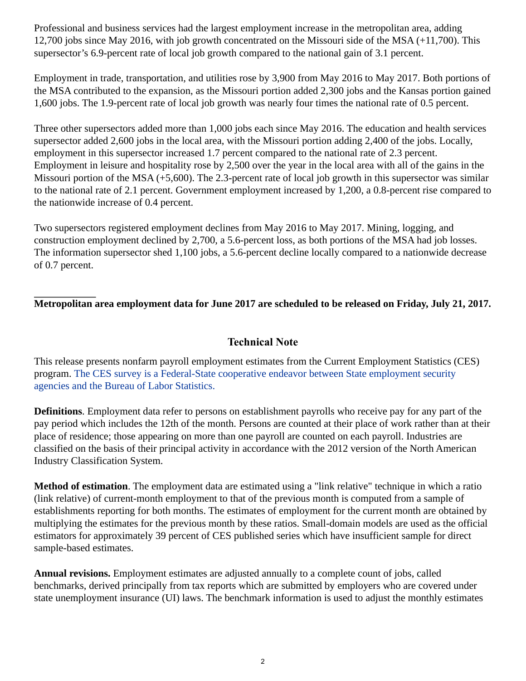Professional and business services had the largest employment increase in the metropolitan area, adding 12,700 jobs since May 2016, with job growth concentrated on the Missouri side of the MSA (+11,700). This supersector's 6.9-percent rate of local job growth compared to the national gain of 3.1 percent.

Employment in trade, transportation, and utilities rose by 3,900 from May 2016 to May 2017. Both portions of the MSA contributed to the expansion, as the Missouri portion added 2,300 jobs and the Kansas portion gained 1,600 jobs. The 1.9-percent rate of local job growth was nearly four times the national rate of 0.5 percent.

Three other supersectors added more than 1,000 jobs each since May 2016. The education and health services supersector added 2,600 jobs in the local area, with the Missouri portion adding 2,400 of the jobs. Locally, employment in this supersector increased 1.7 percent compared to the national rate of 2.3 percent. Employment in leisure and hospitality rose by 2,500 over the year in the local area with all of the gains in the Missouri portion of the MSA (+5,600). The 2.3-percent rate of local job growth in this supersector was similar to the national rate of 2.1 percent. Government employment increased by 1,200, a 0.8-percent rise compared to the nationwide increase of 0.4 percent.

Two supersectors registered employment declines from May 2016 to May 2017. Mining, logging, and construction employment declined by 2,700, a 5.6-percent loss, as both portions of the MSA had job losses. The information supersector shed 1,100 jobs, a 5.6-percent decline locally compared to a nationwide decrease of 0.7 percent.

## **Metropolitan area employment data for June 2017 are scheduled to be released on Friday, July 21, 2017.**

## **Technical Note**

<span id="page-1-0"></span>This release presents nonfarm payroll employment estimates from the Current Employment Statistics (CES) program. The CES survey is a Federal-State cooperative endeavor between State employment security agencies and the Bureau of Labor Statistics.

**Definitions**. Employment data refer to persons on establishment payrolls who receive pay for any part of the pay period which includes the 12th of the month. Persons are counted at their place of work rather than at their place of residence; those appearing on more than one payroll are counted on each payroll. Industries are classified on the basis of their principal activity in accordance with the 2012 version of the North American Industry Classification System.

**Method of estimation**. The employment data are estimated using a "link relative" technique in which a ratio (link relative) of current-month employment to that of the previous month is computed from a sample of establishments reporting for both months. The estimates of employment for the current month are obtained by multiplying the estimates for the previous month by these ratios. Small-domain models are used as the official estimators for approximately 39 percent of CES published series which have insufficient sample for direct sample-based estimates.

**Annual revisions.** Employment estimates are adjusted annually to a complete count of jobs, called benchmarks, derived principally from tax reports which are submitted by employers who are covered under state unemployment insurance (UI) laws. The benchmark information is used to adjust the monthly estimates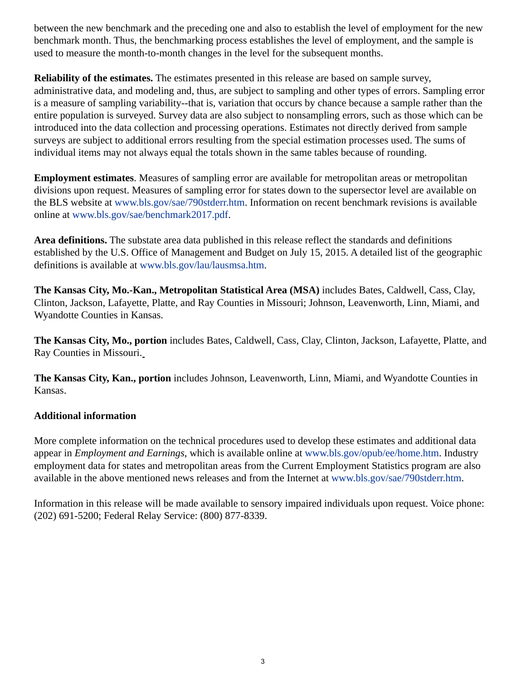between the new benchmark and the preceding one and also to establish the level of employment for the new benchmark month. Thus, the benchmarking process establishes the level of employment, and the sample is used to measure the month-to-month changes in the level for the subsequent months.

**Reliability of the estimates.** The estimates presented in this release are based on sample survey, administrative data, and modeling and, thus, are subject to sampling and other types of errors. Sampling error is a measure of sampling variability--that is, variation that occurs by chance because a sample rather than the entire population is surveyed. Survey data are also subject to nonsampling errors, such as those which can be introduced into the data collection and processing operations. Estimates not directly derived from sample surveys are subject to additional errors resulting from the special estimation processes used. The sums of individual items may not always equal the totals shown in the same tables because of rounding.

**Employment estimates**. Measures of sampling error are available for metropolitan areas or metropolitan divisions upon request. Measures of sampling error for states down to the supersector level are available on the BLS website at [www.bls.gov/sae/790stderr.htm](https://www.bls.gov/sae/790stderr.htm). Information on recent benchmark revisions is available online at [www.bls.gov/sae/benchmark2017.pdf.](https://www.bls.gov/sae/benchmark2017.pdf)

**Area definitions.** The substate area data published in this release reflect the standards and definitions established by the U.S. Office of Management and Budget on July 15, 2015. A detailed list of the geographic definitions is available at [www.bls.gov/lau/lausmsa.htm.](https://www.bls.gov/lau/lausmsa.htm)

**The Kansas City, Mo.-Kan., Metropolitan Statistical Area (MSA)** includes Bates, Caldwell, Cass, Clay, Clinton, Jackson, Lafayette, Platte, and Ray Counties in Missouri; Johnson, Leavenworth, Linn, Miami, and Wyandotte Counties in Kansas.

**The Kansas City, Mo., portion** includes Bates, Caldwell, Cass, Clay, Clinton, Jackson, Lafayette, Platte, and Ray Counties in Missouri.

**The Kansas City, Kan., portion** includes Johnson, Leavenworth, Linn, Miami, and Wyandotte Counties in Kansas.

### **Additional information**

More complete information on the technical procedures used to develop these estimates and additional data appear in *Employment and Earnings*, which is available online at [www.bls.gov/opub/ee/home.htm](https://www.bls.gov/opub/ee/home.htm). Industry employment data for states and metropolitan areas from the Current Employment Statistics program are also available in the above mentioned news releases and from the Internet at [www.bls.gov/sae/790stderr.htm](https://www.bls.gov/sae/790stderr.htm).

Information in this release will be made available to sensory impaired individuals upon request. Voice phone: (202) 691-5200; Federal Relay Service: (800) 877-8339.